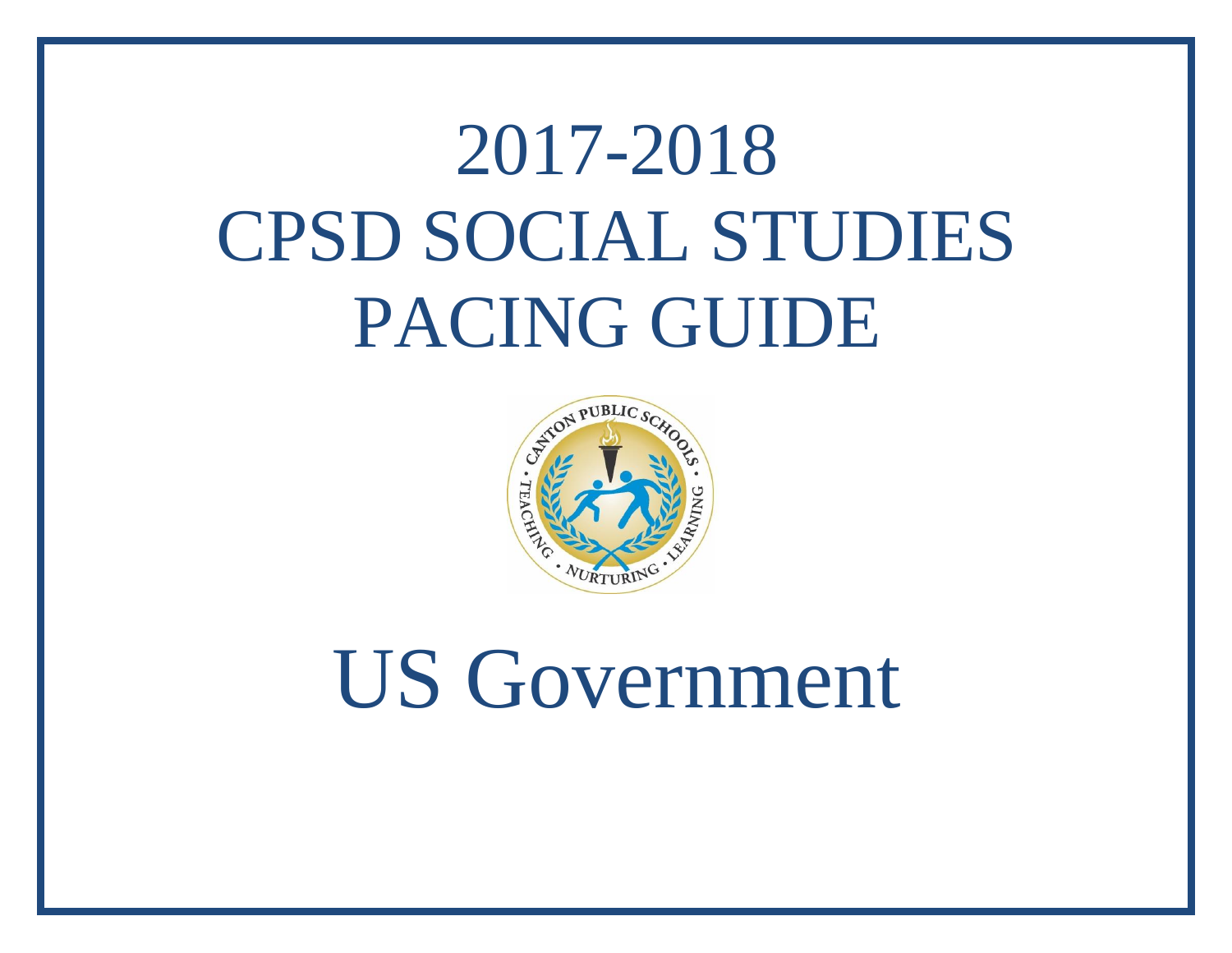## 2017-2018 CPSD SOCIAL STUDIES PACING GUIDE



## US Government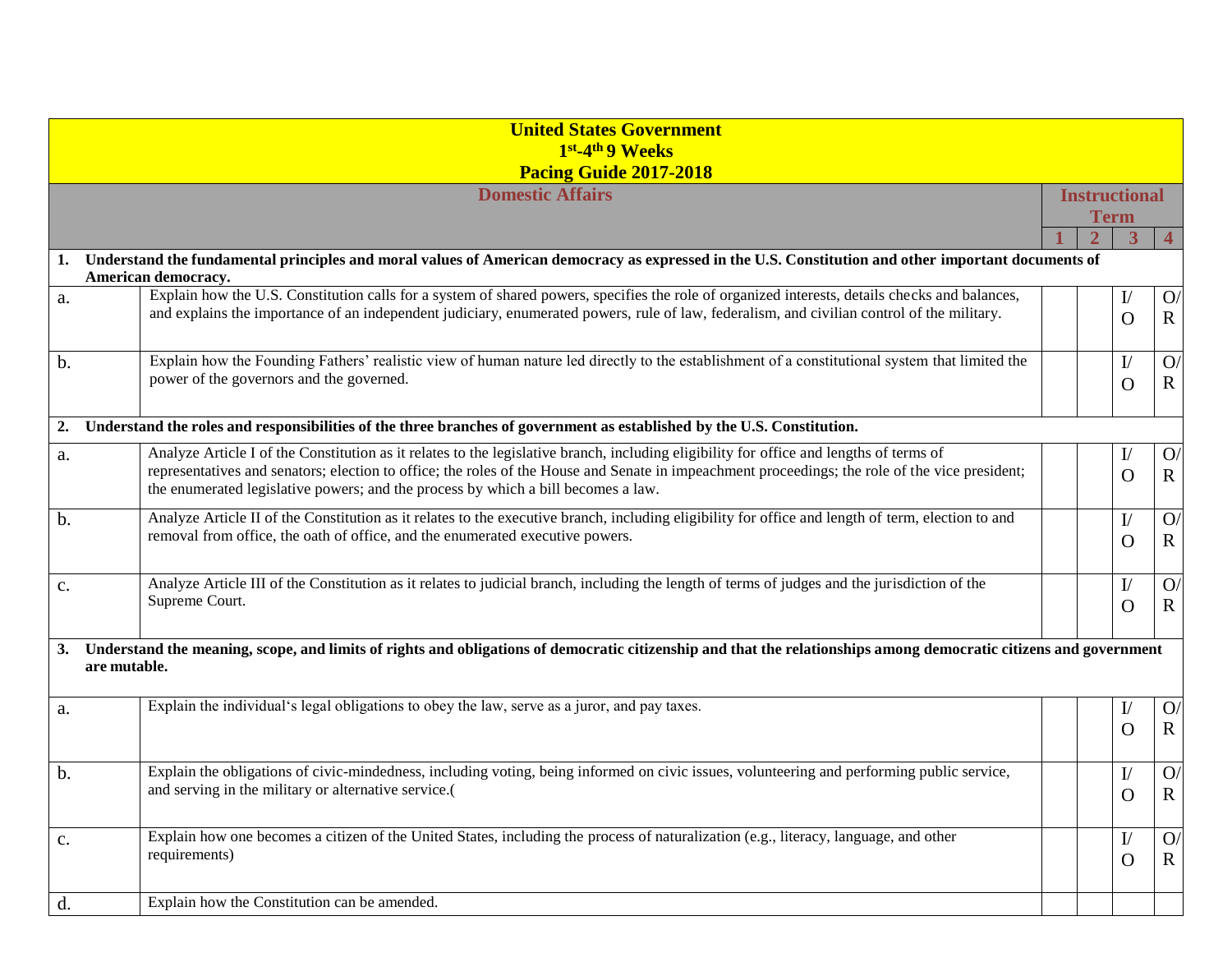|                    | <b>United States Government</b>                                                                                                                                                                                                      |  |                |                      |                |  |
|--------------------|--------------------------------------------------------------------------------------------------------------------------------------------------------------------------------------------------------------------------------------|--|----------------|----------------------|----------------|--|
|                    | 1st <sub>-4th</sub> 9 Weeks                                                                                                                                                                                                          |  |                |                      |                |  |
|                    | Pacing Guide 2017-2018                                                                                                                                                                                                               |  |                |                      |                |  |
|                    | <b>Domestic Affairs</b>                                                                                                                                                                                                              |  |                | <b>Instructional</b> |                |  |
|                    |                                                                                                                                                                                                                                      |  | <b>Term</b>    |                      |                |  |
|                    |                                                                                                                                                                                                                                      |  | 3              |                      | $\overline{4}$ |  |
| 1.                 | Understand the fundamental principles and moral values of American democracy as expressed in the U.S. Constitution and other important documents of<br>American democracy.                                                           |  |                |                      |                |  |
| a.                 | Explain how the U.S. Constitution calls for a system of shared powers, specifies the role of organized interests, details checks and balances,                                                                                       |  | $\mathbf{I}/%$ |                      | O              |  |
|                    | and explains the importance of an independent judiciary, enumerated powers, rule of law, federalism, and civilian control of the military.                                                                                           |  | $\Omega$       |                      | $\mathbf R$    |  |
| $b$ .              | Explain how the Founding Fathers' realistic view of human nature led directly to the establishment of a constitutional system that limited the                                                                                       |  | I/             |                      | O              |  |
|                    | power of the governors and the governed.                                                                                                                                                                                             |  | $\Omega$       |                      | $\mathbf R$    |  |
| 2.                 | Understand the roles and responsibilities of the three branches of government as established by the U.S. Constitution.                                                                                                               |  |                |                      |                |  |
| a.                 | Analyze Article I of the Constitution as it relates to the legislative branch, including eligibility for office and lengths of terms of                                                                                              |  | I/             |                      | O              |  |
|                    | representatives and senators; election to office; the roles of the House and Senate in impeachment proceedings; the role of the vice president;<br>the enumerated legislative powers; and the process by which a bill becomes a law. |  | $\Omega$       |                      | $\mathbf R$    |  |
| b.                 | Analyze Article II of the Constitution as it relates to the executive branch, including eligibility for office and length of term, election to and                                                                                   |  | I/             |                      | O              |  |
|                    | removal from office, the oath of office, and the enumerated executive powers.                                                                                                                                                        |  | $\Omega$       |                      | $\mathbf R$    |  |
| c.                 | Analyze Article III of the Constitution as it relates to judicial branch, including the length of terms of judges and the jurisdiction of the                                                                                        |  | I/             |                      | O              |  |
|                    | Supreme Court.                                                                                                                                                                                                                       |  | $\Omega$       |                      | $\mathbf R$    |  |
| 3.<br>are mutable. | Understand the meaning, scope, and limits of rights and obligations of democratic citizenship and that the relationships among democratic citizens and government                                                                    |  |                |                      |                |  |
| a.                 | Explain the individual's legal obligations to obey the law, serve as a juror, and pay taxes.                                                                                                                                         |  | $_{\rm I\!$    |                      | O              |  |
|                    |                                                                                                                                                                                                                                      |  | $\Omega$       |                      | $\mathbb{R}$   |  |
| $b$ .              | Explain the obligations of civic-mindedness, including voting, being informed on civic issues, volunteering and performing public service,                                                                                           |  | I/             |                      | O              |  |
|                    | and serving in the military or alternative service.(                                                                                                                                                                                 |  | $\mathbf{O}$   |                      | $\mathbf R$    |  |
| c.                 | Explain how one becomes a citizen of the United States, including the process of naturalization (e.g., literacy, language, and other                                                                                                 |  | I/             |                      | O              |  |
|                    | requirements)                                                                                                                                                                                                                        |  | O              |                      | $\mathbf R$    |  |
| d.                 | Explain how the Constitution can be amended.                                                                                                                                                                                         |  |                |                      |                |  |
|                    |                                                                                                                                                                                                                                      |  |                |                      |                |  |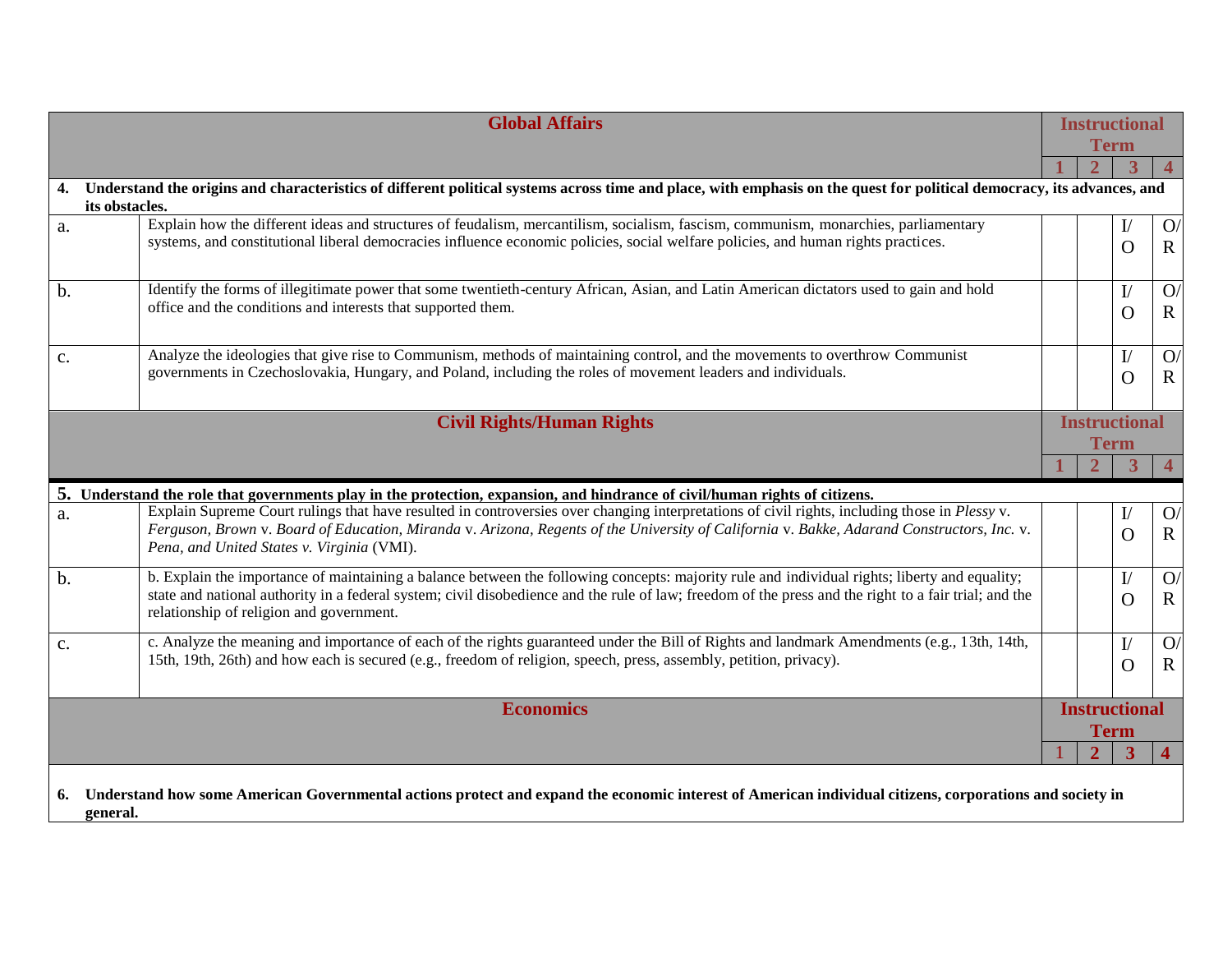| <b>Global Affairs</b>            |                                                                                                                                                                                             | <b>Instructional</b><br><b>Term</b>                                                                                                                                                                                                                                                                    |  |                |                    |                             |
|----------------------------------|---------------------------------------------------------------------------------------------------------------------------------------------------------------------------------------------|--------------------------------------------------------------------------------------------------------------------------------------------------------------------------------------------------------------------------------------------------------------------------------------------------------|--|----------------|--------------------|-----------------------------|
|                                  |                                                                                                                                                                                             |                                                                                                                                                                                                                                                                                                        |  |                |                    | $\overline{4}$              |
|                                  | 4. Understand the origins and characteristics of different political systems across time and place, with emphasis on the quest for political democracy, its advances, and<br>its obstacles. |                                                                                                                                                                                                                                                                                                        |  |                |                    |                             |
| a.                               |                                                                                                                                                                                             | Explain how the different ideas and structures of feudalism, mercantilism, socialism, fascism, communism, monarchies, parliamentary<br>systems, and constitutional liberal democracies influence economic policies, social welfare policies, and human rights practices.                               |  |                | I/<br>O            | O<br>$\mathbf R$            |
| b.                               | office and the conditions and interests that supported them.                                                                                                                                | Identify the forms of illegitimate power that some twentieth-century African, Asian, and Latin American dictators used to gain and hold                                                                                                                                                                |  |                | I/<br>O            | O<br>$\mathbf R$            |
| c.                               |                                                                                                                                                                                             | Analyze the ideologies that give rise to Communism, methods of maintaining control, and the movements to overthrow Communist<br>governments in Czechoslovakia, Hungary, and Poland, including the roles of movement leaders and individuals.                                                           |  |                | $\mathbf{I}/$<br>O | O<br>$\mathbf R$            |
| <b>Civil Rights/Human Rights</b> |                                                                                                                                                                                             | <b>Instructional</b><br><b>Term</b>                                                                                                                                                                                                                                                                    |  |                |                    |                             |
|                                  |                                                                                                                                                                                             |                                                                                                                                                                                                                                                                                                        |  |                | 3                  | $\overline{4}$              |
|                                  |                                                                                                                                                                                             | 5. Understand the role that governments play in the protection, expansion, and hindrance of civil/human rights of citizens.                                                                                                                                                                            |  |                |                    |                             |
| a.                               | Pena, and United States v. Virginia (VMI).                                                                                                                                                  | Explain Supreme Court rulings that have resulted in controversies over changing interpretations of civil rights, including those in Plessy v.<br>Ferguson, Brown v. Board of Education, Miranda v. Arizona, Regents of the University of California v. Bakke, Adarand Constructors, Inc. v.            |  |                | $_{\rm I\!$<br>O   | O<br>$\mathbf R$            |
| $b$ .                            | relationship of religion and government.                                                                                                                                                    | b. Explain the importance of maintaining a balance between the following concepts: majority rule and individual rights; liberty and equality;<br>state and national authority in a federal system; civil disobedience and the rule of law; freedom of the press and the right to a fair trial; and the |  |                | I/<br>O            | $\mathbf{O}$<br>$\mathbf R$ |
| $\mathbf{C}$ .                   |                                                                                                                                                                                             | c. Analyze the meaning and importance of each of the rights guaranteed under the Bill of Rights and landmark Amendments (e.g., 13th, 14th,<br>15th, 19th, 26th) and how each is secured (e.g., freedom of religion, speech, press, assembly, petition, privacy).                                       |  |                | I/<br>O            | O<br>$\mathbf R$            |
| <b>Economics</b>                 |                                                                                                                                                                                             | <b>Instructional</b><br><b>Term</b>                                                                                                                                                                                                                                                                    |  |                |                    |                             |
|                                  |                                                                                                                                                                                             |                                                                                                                                                                                                                                                                                                        |  | $\overline{2}$ | 3                  | $\overline{\mathbf{4}}$     |
|                                  | 6. Understand how some American Governmental actions protect and expand the economic interest of American individual citizens, corporations and society in<br>general.                      |                                                                                                                                                                                                                                                                                                        |  |                |                    |                             |